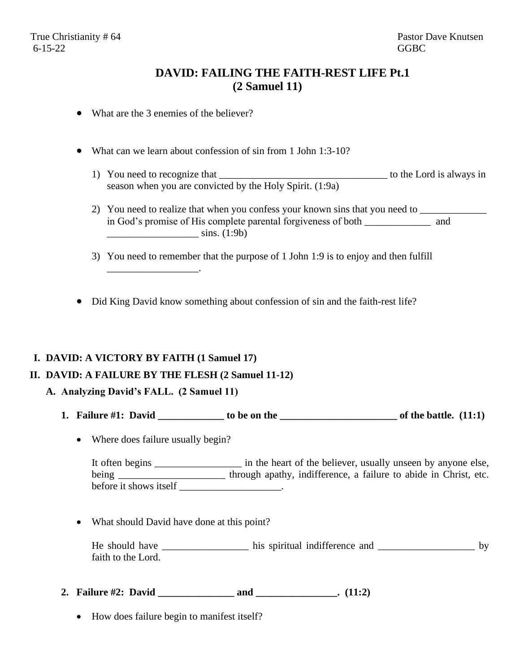## **DAVID: FAILING THE FAITH-REST LIFE Pt.1 (2 Samuel 11)**

- What are the 3 enemies of the believer?
- What can we learn about confession of sin from 1 John 1:3-10?
	- 1) You need to recognize that \_\_\_\_\_\_\_\_\_\_\_\_\_\_\_\_\_\_\_\_\_\_\_\_\_\_\_\_\_\_\_\_\_ to the Lord is always in season when you are convicted by the Holy Spirit. (1:9a)
	- 2) You need to realize that when you confess your known sins that you need to in God's promise of His complete parental forgiveness of both \_\_\_\_\_\_\_\_\_\_\_\_\_ and  $\frac{\sinh(1:9b)}{2}$
	- 3) You need to remember that the purpose of 1 John 1:9 is to enjoy and then fulfill
- Did King David know something about confession of sin and the faith-rest life?

## **I. DAVID: A VICTORY BY FAITH (1 Samuel 17)**

\_\_\_\_\_\_\_\_\_\_\_\_\_\_\_\_\_\_.

## **II. DAVID: A FAILURE BY THE FLESH (2 Samuel 11-12)**

- **A. Analyzing David's FALL. (2 Samuel 11)**
	- **1. Failure #1: David \_\_\_\_\_\_\_\_\_\_\_\_\_ to be on the \_\_\_\_\_\_\_\_\_\_\_\_\_\_\_\_\_\_\_\_\_\_\_ of the battle. (11:1)**
		- Where does failure usually begin?

It often begins  $\frac{1}{2}$  in the heart of the believer, usually unseen by anyone else, being \_\_\_\_\_\_\_\_\_\_\_\_\_\_\_\_\_\_\_\_\_\_\_ through apathy, indifference, a failure to abide in Christ, etc. before it shows itself \_\_\_\_\_\_\_\_\_\_\_\_\_\_\_\_\_\_\_\_.

• What should David have done at this point?

He should have \_\_\_\_\_\_\_\_\_\_\_\_\_\_\_\_\_\_\_\_\_ his spiritual indifference and \_\_\_\_\_\_\_\_\_\_\_\_\_\_\_\_\_\_\_\_\_\_\_\_\_ by faith to the Lord.

- **2. Failure #2: David \_\_\_\_\_\_\_\_\_\_\_\_\_\_\_ and \_\_\_\_\_\_\_\_\_\_\_\_\_\_\_\_. (11:2)**
	- How does failure begin to manifest itself?